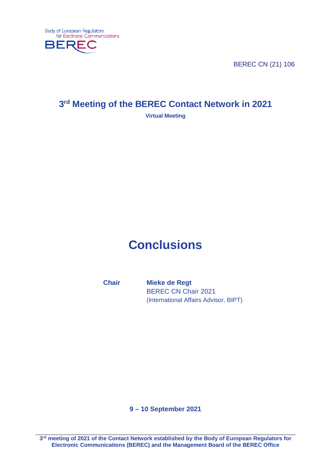

BEREC CN (21) 106

# **3rd Meeting of the BEREC Contact Network in 2021**

## **Virtual Meeting**

# **Conclusions**

**Chair Mieke de Regt** BEREC CN Chair 2021 (International Affairs Advisor, BIPT)

**9 – 10 September 2021**

**3rd meeting of 2021 of the Contact Network established by the Body of European Regulators for Electronic Communications (BEREC) and the Management Board of the BEREC Office**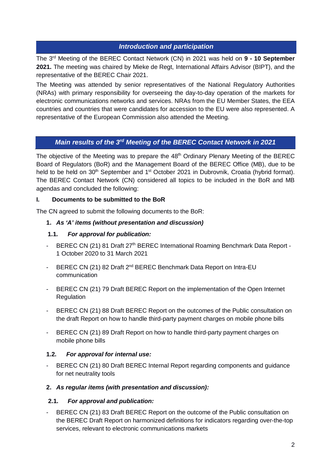# *Introduction and participation*

The 3rd Meeting of the BEREC Contact Network (CN) in 2021 was held on **9 - 10 September 2021.** The meeting was chaired by Mieke de Regt, International Affairs Advisor (BIPT), and the representative of the BEREC Chair 2021.

The Meeting was attended by senior representatives of the National Regulatory Authorities (NRAs) with primary responsibility for overseeing the day-to-day operation of the markets for electronic communications networks and services. NRAs from the EU Member States, the EEA countries and countries that were candidates for accession to the EU were also represented. A representative of the European Commission also attended the Meeting.

# *Main results of the 3rd Meeting of the BEREC Contact Network in 2021*

The objective of the Meeting was to prepare the  $48<sup>th</sup>$  Ordinary Plenary Meeting of the BEREC Board of Regulators (BoR) and the Management Board of the BEREC Office (MB), due to be held to be held on 30<sup>th</sup> September and 1<sup>st</sup> October 2021 in Dubrovnik, Croatia (hybrid format). The BEREC Contact Network (CN) considered all topics to be included in the BoR and MB agendas and concluded the following:

## **I. Documents to be submitted to the BoR**

The CN agreed to submit the following documents to the BoR:

# **1.** *As 'A' items (without presentation and discussion)*

# **1.1.** *For approval for publication:*

- BEREC CN (21) 81 Draft 27<sup>th</sup> BEREC International Roaming Benchmark Data Report -1 October 2020 to 31 March 2021
- BEREC CN (21) 82 Draft 2<sup>nd</sup> BEREC Benchmark Data Report on Intra-EU communication
- BEREC CN (21) 79 Draft BEREC Report on the implementation of the Open Internet Regulation
- BEREC CN (21) 88 Draft BEREC Report on the outcomes of the Public consultation on the draft Report on how to handle third-party payment charges on mobile phone bills
- BEREC CN (21) 89 Draft Report on how to handle third-party payment charges on mobile phone bills

# **1.2.** *For approval for internal use:*

- BEREC CN (21) 80 Draft BEREC Internal Report regarding components and guidance for net neutrality tools

## **2.** *As regular items (with presentation and discussion):*

# **2.1.** *For approval and publication:*

BEREC CN (21) 83 Draft BEREC Report on the outcome of the Public consultation on the BEREC Draft Report on harmonized definitions for indicators regarding over-the-top services, relevant to electronic communications markets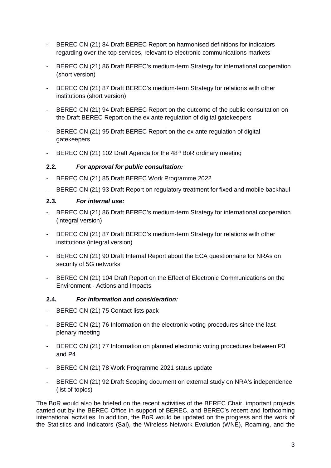- BEREC CN (21) 84 Draft BEREC Report on harmonised definitions for indicators regarding over-the-top services, relevant to electronic communications markets
- BEREC CN (21) 86 Draft BEREC's medium-term Strategy for international cooperation (short version)
- BEREC CN (21) 87 Draft BEREC's medium-term Strategy for relations with other institutions (short version)
- BEREC CN (21) 94 Draft BEREC Report on the outcome of the public consultation on the Draft BEREC Report on the ex ante regulation of digital gatekeepers
- BEREC CN (21) 95 Draft BEREC Report on the ex ante regulation of digital gatekeepers
- BEREC CN (21) 102 Draft Agenda for the 48<sup>th</sup> BoR ordinary meeting

#### **2.2.** *For approval for public consultation:*

- BEREC CN (21) 85 Draft BEREC Work Programme 2022
- BEREC CN (21) 93 Draft Report on regulatory treatment for fixed and mobile backhaul

#### **2.3.** *For internal use:*

- BEREC CN (21) 86 Draft BEREC's medium-term Strategy for international cooperation (integral version)
- BEREC CN (21) 87 Draft BEREC's medium-term Strategy for relations with other institutions (integral version)
- BEREC CN (21) 90 Draft Internal Report about the ECA questionnaire for NRAs on security of 5G networks
- BEREC CN (21) 104 Draft Report on the Effect of Electronic Communications on the Environment - Actions and Impacts

#### **2.4.** *For information and consideration:*

- BEREC CN (21) 75 Contact lists pack
- BEREC CN (21) 76 Information on the electronic voting procedures since the last plenary meeting
- BEREC CN (21) 77 Information on planned electronic voting procedures between P3 and P4
- BEREC CN (21) 78 Work Programme 2021 status update
- BEREC CN (21) 92 Draft Scoping document on external study on NRA's independence (list of topics)

The BoR would also be briefed on the recent activities of the BEREC Chair, important projects carried out by the BEREC Office in support of BEREC, and BEREC's recent and forthcoming international activities. In addition, the BoR would be updated on the progress and the work of the Statistics and Indicators (SaI), the Wireless Network Evolution (WNE), Roaming, and the